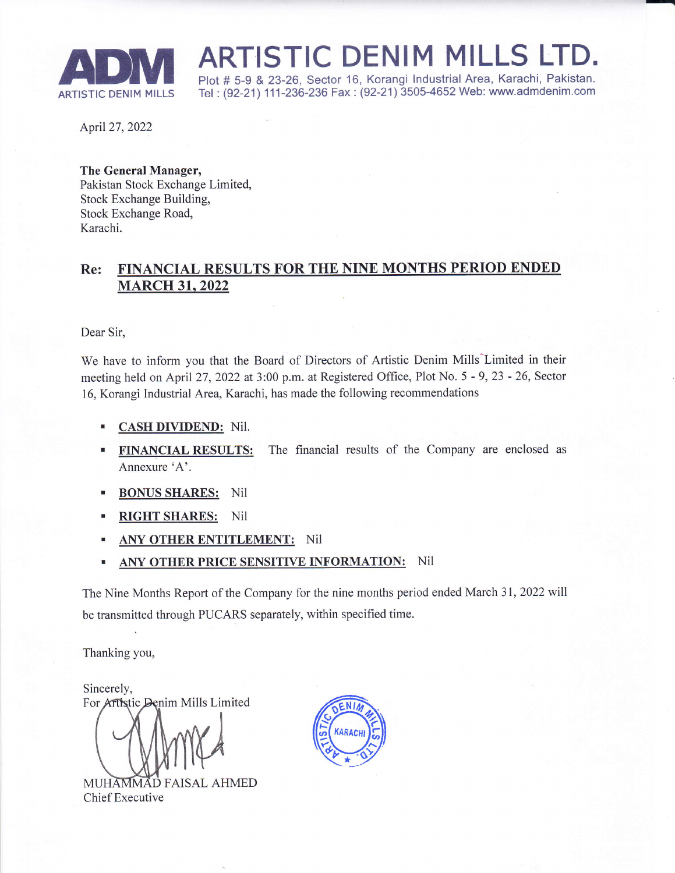

ADM \*, ARTISTIC DENIM MILLS LTD.<br>ARTISTIC DENIM MILLS Tel: (92-21) 111-236-236 Fax : (92-21) 3505-4652 Web: www.admdenim.com

Tel: (92-21) 111-236-236 Fax: (92-21) 3505-4652 Web: www.admdenim.com

April27,2022

The General Manager, Pakistan Stock Exchange Limited, Stock Exchange Building, Stock Exchange Road, Karachi.

## Re: FINANCIAL RESULTS FOR THE NINE MONTHS PERIOD ENDED **MARCH 31, 2022**

Dear Sir,

We have to inform you that the Board of Directors of Artistic Denim Mills^Limited in their meeting held on April27,2022 at 3:00 p.m. at Registered Office, Plot No. 5 - 9,23 - 26, Sector 16, Korangi Industrial Area, Karachi, has made the following recommendations

- CASH DIVIDEND: NiI. I
- FINANCIAL RESULTS: The financial results of the Company are enclosed as Annexure'A'. !
- . BONUS SHARES: Nil
- RIGHT SHARES: Nil
- ANY OTHER ENTITLEMENT: Nil
- ANY OTHER PRICE SENSITIVE INFORMATION: Nil

The Nine Months Report of the Company for the nine months period ended March 31, 2022 will be transmitted through PUCARS separately, within specified time.

Thanking you,

Sincerely, For Artistic Denim Mills Limited

MUHAMMAD FAISAL AHMED Chief Executive